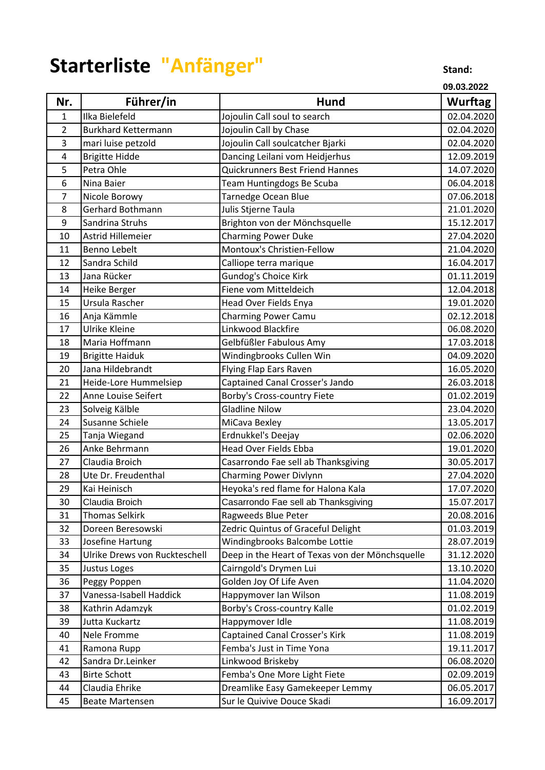## Starterliste "Anfänger" **Starterliste (Stand:**

**09.03.2022**

| Nr.            | Führer/in                     | Hund                                            | <b>Wurftag</b> |
|----------------|-------------------------------|-------------------------------------------------|----------------|
| $\mathbf{1}$   | Ilka Bielefeld                | Jojoulin Call soul to search                    | 02.04.2020     |
| $\overline{2}$ | <b>Burkhard Kettermann</b>    | Jojoulin Call by Chase                          | 02.04.2020     |
| 3              | mari luise petzold            | Jojoulin Call soulcatcher Bjarki                | 02.04.2020     |
| 4              | <b>Brigitte Hidde</b>         | Dancing Leilani vom Heidjerhus                  | 12.09.2019     |
| 5              | Petra Ohle                    | Quickrunners Best Friend Hannes                 | 14.07.2020     |
| 6              | Nina Baier                    | Team Huntingdogs Be Scuba                       | 06.04.2018     |
| 7              | Nicole Borowy                 | Tarnedge Ocean Blue                             | 07.06.2018     |
| 8              | Gerhard Bothmann              | Julis Stjerne Taula                             | 21.01.2020     |
| 9              | Sandrina Struhs               | Brighton von der Mönchsquelle                   | 15.12.2017     |
| 10             | Astrid Hillemeier             | <b>Charming Power Duke</b>                      | 27.04.2020     |
| 11             | <b>Benno Lebelt</b>           | Montoux's Christien-Fellow                      | 21.04.2020     |
| 12             | Sandra Schild                 | Calliope terra marique                          | 16.04.2017     |
| 13             | Jana Rücker                   | Gundog's Choice Kirk                            | 01.11.2019     |
| 14             | Heike Berger                  | Fiene vom Mitteldeich                           | 12.04.2018     |
| 15             | Ursula Rascher                | Head Over Fields Enya                           | 19.01.2020     |
| 16             | Anja Kämmle                   | <b>Charming Power Camu</b>                      | 02.12.2018     |
| 17             | Ulrike Kleine                 | Linkwood Blackfire                              | 06.08.2020     |
| 18             | Maria Hoffmann                | Gelbfüßler Fabulous Amy                         | 17.03.2018     |
| 19             | <b>Brigitte Haiduk</b>        | Windingbrooks Cullen Win                        | 04.09.2020     |
| 20             | Jana Hildebrandt              | Flying Flap Ears Raven                          | 16.05.2020     |
| 21             | Heide-Lore Hummelsiep         | Captained Canal Crosser's Jando                 | 26.03.2018     |
| 22             | Anne Louise Seifert           | Borby's Cross-country Fiete                     | 01.02.2019     |
| 23             | Solveig Kälble                | <b>Gladline Nilow</b>                           | 23.04.2020     |
| 24             | Susanne Schiele               | MiCava Bexley                                   | 13.05.2017     |
| 25             | Tanja Wiegand                 | Erdnukkel's Deejay                              | 02.06.2020     |
| 26             | Anke Behrmann                 | <b>Head Over Fields Ebba</b>                    | 19.01.2020     |
| 27             | Claudia Broich                | Casarrondo Fae sell ab Thanksgiving             | 30.05.2017     |
| 28             | Ute Dr. Freudenthal           | <b>Charming Power Divlynn</b>                   | 27.04.2020     |
| 29             | Kai Heinisch                  | Heyoka's red flame for Halona Kala              | 17.07.2020     |
| 30             | Claudia Broich                | Casarrondo Fae sell ab Thanksgiving             | 15.07.2017     |
| 31             | <b>Thomas Selkirk</b>         | Ragweeds Blue Peter                             | 20.08.2016     |
| 32             | Doreen Beresowski             | Zedric Quintus of Graceful Delight              | 01.03.2019     |
| 33             | Josefine Hartung              | Windingbrooks Balcombe Lottie                   | 28.07.2019     |
| 34             | Ulrike Drews von Ruckteschell | Deep in the Heart of Texas von der Mönchsquelle | 31.12.2020     |
| 35             | Justus Loges                  | Cairngold's Drymen Lui                          | 13.10.2020     |
| 36             | Peggy Poppen                  | Golden Joy Of Life Aven                         | 11.04.2020     |
| 37             | Vanessa-Isabell Haddick       | Happymover Ian Wilson                           | 11.08.2019     |
| 38             | Kathrin Adamzyk               | Borby's Cross-country Kalle                     | 01.02.2019     |
| 39             | Jutta Kuckartz                | Happymover Idle                                 | 11.08.2019     |
| 40             | Nele Fromme                   | Captained Canal Crosser's Kirk                  | 11.08.2019     |
| 41             | Ramona Rupp                   | Femba's Just in Time Yona                       | 19.11.2017     |
| 42             | Sandra Dr.Leinker             | Linkwood Briskeby                               | 06.08.2020     |
| 43             | <b>Birte Schott</b>           | Femba's One More Light Fiete                    | 02.09.2019     |
| 44             | Claudia Ehrike                | Dreamlike Easy Gamekeeper Lemmy                 | 06.05.2017     |
| 45             | <b>Beate Martensen</b>        | Sur le Quivive Douce Skadi                      | 16.09.2017     |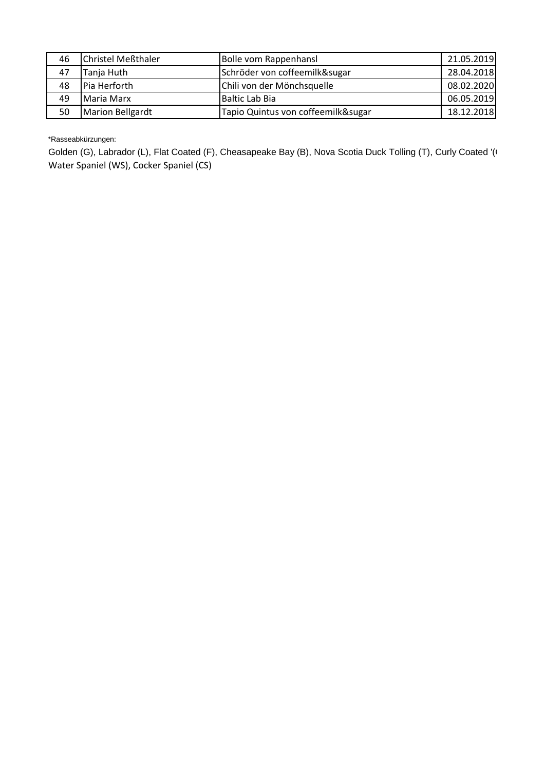| 46 | Christel Meßthaler | Bolle vom Rappenhansl              | 21.05.2019 |
|----|--------------------|------------------------------------|------------|
| 47 | Tanja Huth         | Schröder von coffeemilk&sugar      | 28.04.2018 |
| 48 | Pia Herforth       | Chili von der Mönchsquelle         | 08.02.2020 |
| 49 | Maria Marx         | Baltic Lab Bia                     | 06.05.2019 |
| 50 | Marion Bellgardt   | Tapio Quintus von coffeemilk&sugar | 18.12.2018 |

\*Rasseabkürzungen:

Golden (G), Labrador (L), Flat Coated (F), Cheasapeake Bay (B), Nova Scotia Duck Tolling (T), Curly Coated '( Water Spaniel (WS), Cocker Spaniel (CS)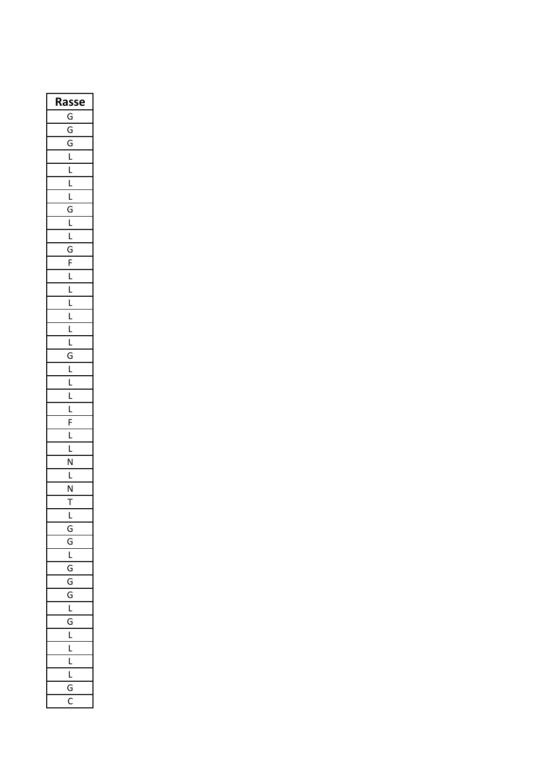| Rasse                   |
|-------------------------|
| G                       |
| $\overline{G}$          |
| $\overline{G}$          |
| $\overline{\mathsf{L}}$ |
| $\overline{L}$          |
| Ĺ                       |
| ֡׆֧֦֧֢֦                 |
| $\overline{G}$          |
| ׇ֡֓׆֧֦֧֦֧֦֧֦֜           |
| ī                       |
| G                       |
|                         |
| $rac{F}{L}$             |
|                         |
| $\frac{L}{L}$           |
| Ĺ                       |
| Ĺ                       |
| Ĺ                       |
| $\overline{G}$          |
| $\overline{L}$          |
| $\overline{L}$          |
| $\overline{L}$          |
| Ĺ                       |
| $\overline{F}$          |
| ĺ                       |
| Ļ                       |
| $\overline{\mathsf{N}}$ |
| Ļ                       |
| $\frac{N}{2}$           |
| .<br>ד                  |
| l                       |
| Ġ                       |
| $\mathcal{C}$<br>ì      |
| $\overline{1}$          |
| $\overline{6}$<br>ì     |
| $\overline{G}$          |
| j<br>¢                  |
| L                       |
| G                       |
| $\overline{1}$          |
| I                       |
| ı                       |
| ı                       |
| C<br>J                  |
| Ć                       |
|                         |